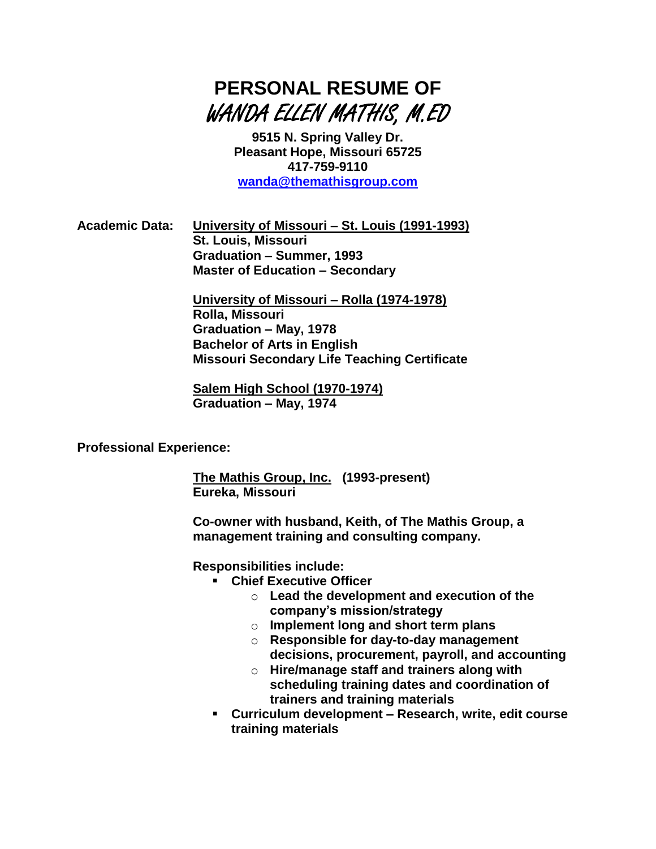

**9515 N. Spring Valley Dr. Pleasant Hope, Missouri 65725 417-759-9110 [wanda@themathisgroup.com](mailto:wanda@themathisgroup.com)**

**Academic Data: University of Missouri – St. Louis (1991-1993) St. Louis, Missouri Graduation – Summer, 1993 Master of Education – Secondary**

> **University of Missouri – Rolla (1974-1978) Rolla, Missouri Graduation – May, 1978 Bachelor of Arts in English Missouri Secondary Life Teaching Certificate**

**Salem High School (1970-1974) Graduation – May, 1974**

**Professional Experience:**

**The Mathis Group, Inc. (1993-present) Eureka, Missouri**

**Co-owner with husband, Keith, of The Mathis Group, a management training and consulting company.**

**Responsibilities include:**

- **Chief Executive Officer**
	- o **Lead the development and execution of the company's mission/strategy**
	- o **Implement long and short term plans**
	- o **Responsible for day-to-day management decisions, procurement, payroll, and accounting**
	- o **Hire/manage staff and trainers along with scheduling training dates and coordination of trainers and training materials**
- **Curriculum development – Research, write, edit course training materials**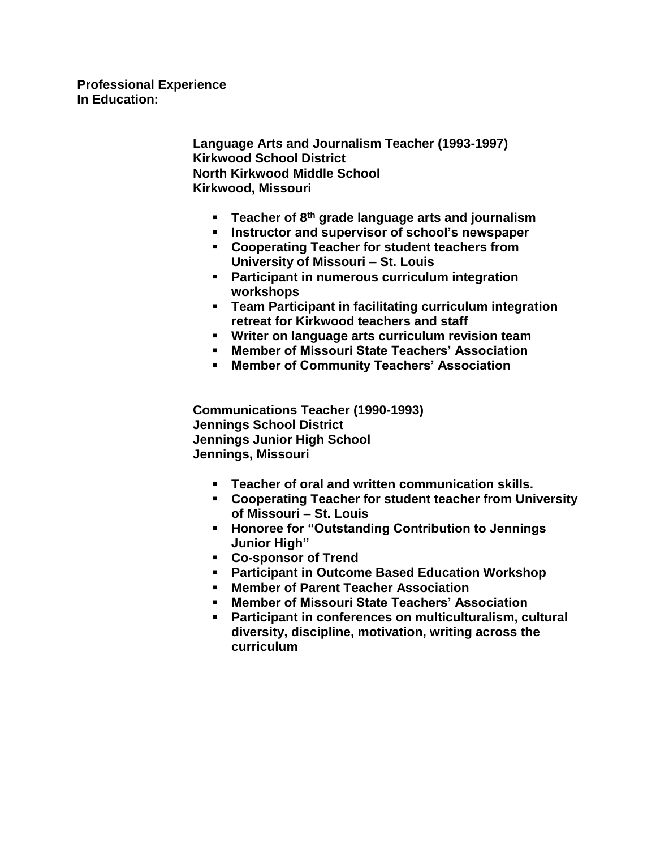**Professional Experience In Education:**

> **Language Arts and Journalism Teacher (1993-1997) Kirkwood School District North Kirkwood Middle School Kirkwood, Missouri**

- **Teacher of 8th grade language arts and journalism**
- **Instructor and supervisor of school's newspaper**
- **Cooperating Teacher for student teachers from University of Missouri – St. Louis**
- **Participant in numerous curriculum integration workshops**
- **Team Participant in facilitating curriculum integration retreat for Kirkwood teachers and staff**
- **Writer on language arts curriculum revision team**
- **Member of Missouri State Teachers' Association**
- **Member of Community Teachers' Association**

**Communications Teacher (1990-1993) Jennings School District Jennings Junior High School Jennings, Missouri**

- **Teacher of oral and written communication skills.**
- **Cooperating Teacher for student teacher from University of Missouri – St. Louis**
- **Honoree for "Outstanding Contribution to Jennings Junior High"**
- **Co-sponsor of Trend**
- **Participant in Outcome Based Education Workshop**
- **Member of Parent Teacher Association**
- **Member of Missouri State Teachers' Association**
- **Participant in conferences on multiculturalism, cultural diversity, discipline, motivation, writing across the curriculum**